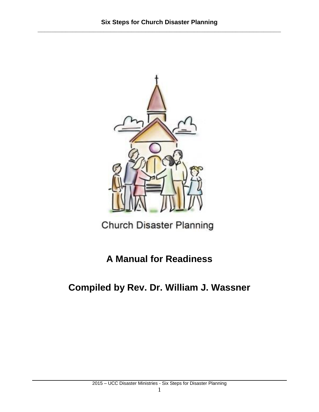

Church Disaster Planning

**A Manual for Readiness**

**Compiled by Rev. Dr. William J. Wassner**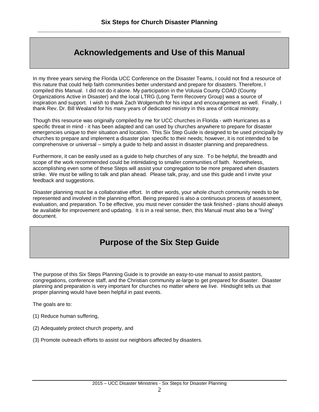# **Acknowledgements and Use of this Manual**

In my three years serving the Florida UCC Conference on the Disaster Teams, I could not find a resource of this nature that could help faith communities better understand and prepare for disasters. Therefore, I compiled this Manual. I did not do it alone. My participation in the Volusia County COAD (County Organizations Active in Disaster) and the local LTRG (Long Term Recovery Group) was a source of inspiration and support. I wish to thank Zach Wolgemuth for his input and encouragement as well. Finally, I thank Rev. Dr. Bill Wealand for his many years of dedicated ministry in this area of critical ministry.

Though this resource was originally compiled by me for UCC churches in Florida - with Hurricanes as a specific threat in mind - it has been adapted and can used by churches anywhere to prepare for disaster emergencies unique to their situation and location. This Six Step Guide is designed to be used principally by churches to prepare and implement a disaster plan specific to their needs; however, it is not intended to be comprehensive or universal – simply a guide to help and assist in disaster planning and preparedness.

Furthermore, it can be easily used as a guide to help churches of any size. To be helpful, the breadth and scope of the work recommended could be intimidating to smaller communities of faith. Nonetheless, accomplishing even some of these Steps will assist your congregation to be more prepared when disasters strike. We must be willing to talk and plan ahead. Please talk, pray, and use this guide and I invite your feedback and suggestions.

Disaster planning must be a collaborative effort. In other words, your whole church community needs to be represented and involved in the planning effort. Being prepared is also a continuous process of assessment, evaluation, and preparation. To be effective, you must never consider the task finished - plans should always be available for improvement and updating. It is in a real sense, then, this Manual must also be a "living" document.

# **Purpose of the Six Step Guide**

The purpose of this Six Steps Planning Guide is to provide an easy-to-use manual to assist pastors, congregations, conference staff, and the Christian community at-large to get prepared for disaster. Disaster planning and preparation is very important for churches no matter where we live. Hindsight tells us that proper planning would have been helpful in past events.

The goals are to:

- (1) Reduce human suffering,
- (2) Adequately protect church property, and
- (3) Promote outreach efforts to assist our neighbors affected by disasters.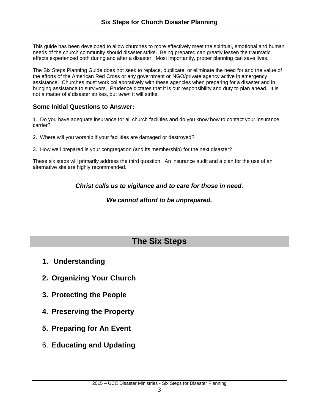This guide has been developed to allow churches to more effectively meet the spiritual, emotional and human needs of the church community should disaster strike. Being prepared can greatly lessen the traumatic effects experienced both during and after a disaster. Most importantly, proper planning can save lives.

The Six Steps Planning Guide does not seek to replace, duplicate, or eliminate the need for and the value of the efforts of the American Red Cross or any government or NGO/private agency active in emergency assistance. Churches must work collaboratively with these agencies when preparing for a disaster and in bringing assistance to survivors. Prudence dictates that it is our responsibility and duty to plan ahead. It is not a matter of *if* disaster strikes, but *when* it will strike.

# **Some Initial Questions to Answer:**

1. Do you have adequate insurance for all church facilities and do you know how to contact your insurance carrier?

- 2. Where will you worship if your facilities are damaged or destroyed?
- 3. How well prepared is your congregation (and its membership) for the next disaster?

These six steps will primarily address the third question. An insurance audit and a plan for the use of an alternative site are highly recommended.

*Christ calls us to vigilance and to care for those in need.* 

# *We cannot afford to be unprepared.*

# **The Six Steps**

- **1. Understanding**
- **2. Organizing Your Church**
- **3. Protecting the People**
- **4. Preserving the Property**
- **5. Preparing for An Event**
- 6. **Educating and Updating**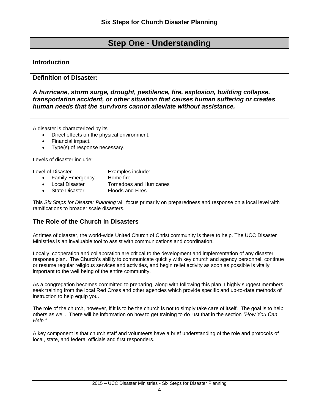# **Step One - Understanding**

# **Introduction**

### **Definition of Disaster:**

*A hurricane, storm surge, drought, pestilence, fire, explosion, building collapse, transportation accident, or other situation that causes human suffering or creates human needs that the survivors cannot alleviate without assistance.*

A disaster is characterized by its

- Direct effects on the physical environment.
- Financial impact.
- Type(s) of response necessary.

Levels of disaster include:

| Level of Disaster |                         | Examples include: |  |
|-------------------|-------------------------|-------------------|--|
|                   | <b>Family Emergency</b> | Home fire         |  |

- Local Disaster Tornadoes and Hurricanes
- State Disaster Floods and Fires

This *Six Steps for Disaster Planning* will focus primarily on preparedness and response on a local level with ramifications to broader scale disasters.

# **The Role of the Church in Disasters**

At times of disaster, the world-wide United Church of Christ community is there to help. The UCC Disaster Ministries is an invaluable tool to assist with communications and coordination.

Locally, cooperation and collaboration are critical to the development and implementation of any disaster response plan. The Church's ability to communicate quickly with key church and agency personnel, continue or resume regular religious services and activities, and begin relief activity as soon as possible is vitally important to the well being of the entire community.

As a congregation becomes committed to preparing, along with following this plan, I highly suggest members seek training from the local Red Cross and other agencies which provide specific and up-to-date methods of instruction to help equip you.

The role of the church, however, if it is to be the church is not to simply take care of itself. The goal is to help others as well. There will be information on how to get training to do just that in the section *"How You Can Help."*

A key component is that church staff and volunteers have a brief understanding of the role and protocols of local, state, and federal officials and first responders.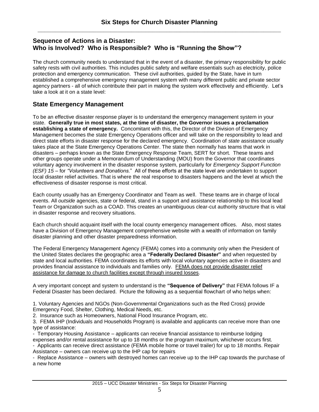## **Sequence of Actions in a Disaster: Who is Involved? Who is Responsible? Who is "Running the Show"?**

The church community needs to understand that in the event of a disaster, the primary responsibility for public safety rests with civil authorities. This includes public safety and welfare essentials such as electricity, police protection and emergency communication. These civil authorities, guided by the State, have in turn established a comprehensive emergency management system with many different public and private sector agency partners - all of which contribute their part in making the system work effectively and efficiently. Let's take a look at it on a state level:

# **State Emergency Management**

To be an effective disaster response player is to understand the emergency management system in your state. **Generally true in most states, at the time of disaster, the Governor issues a proclamation establishing a state of emergency.** Concomitant with this, the Director of the Division of Emergency Management becomes the state Emergency Operations officer and will take on the responsibility to lead and direct state efforts in disaster response for the declared emergency. Coordination of *state* assistance usually takes place at the State Emergency Operations Center. The state then normally has teams that work in disasters – perhaps known as the State Emergency Response Team, SERT for short. These teams and other groups operate under a Memorandum of Understanding (MOU) from the Governor that coordinates voluntary agency involvement in the disaster response system, particularly for *Emergency Support Function (ESF) 15 –* for *"Volunteers and Donations.*" All of these efforts at the state level are undertaken to support local disaster relief activities. That is where the real response to disasters happens and the level at which the effectiveness of disaster response is most critical.

Each county usually has an Emergency Coordinator and Team as well. These teams are in charge of local events. All *outside* agencies, state or federal, stand in a support and assistance relationship to this local lead Team or Organization such as a COAD. This creates an unambiguous clear-cut authority structure that is vital in disaster response and recovery situations.

Each church should acquaint itself with the local county emergency management offices. Also, most states have a Division of Emergency Management comprehensive website with a wealth of information on family disaster planning and other disaster preparedness information.

The Federal Emergency Management Agency (FEMA) comes into a community only when the President of the United States declares the geographic area a **"Federally Declared Disaster"** and when requested by state and local authorities. FEMA coordinates its efforts with local voluntary agencies active in disasters and provides financial assistance to individuals and families only. FEMA does not provide disaster relief assistance for damage to church facilities except through insured losses.

A very important concept and system to understand is the **"Sequence of Delivery"** that FEMA follows IF a Federal Disaster has been declared. Picture the following as a sequential flowchart of who helps when:

1. Voluntary Agencies and NGOs (Non-Governmental Organizations such as the Red Cross) provide Emergency Food, Shelter, Clothing, Medical Needs, etc.

2. Insurance such as Homeowners, National Flood Insurance Program, etc.

3. FEMA IHP (Individuals and Households Program) is available and applicants can receive more than one type of assistance:

- Temporary Housing Assistance – applicants can receive financial assistance to reimburse lodging expenses and/or rental assistance for up to 18 months or the program maximum, whichever occurs first.

- Applicants can receive direct assistance (FEMA mobile home or travel trailer) for up to 18 months. Repair Assistance – owners can receive up to the IHP cap for repairs

- Replace Assistance – owners with destroyed homes can receive up to the IHP cap towards the purchase of a new home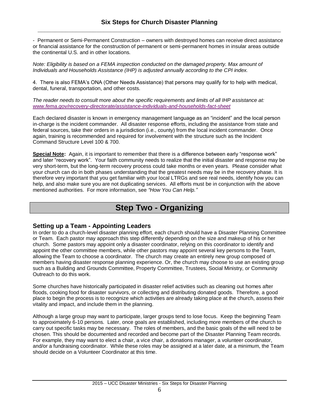- Permanent or Semi-Permanent Construction – owners with destroyed homes can receive direct assistance or financial assistance for the construction of permanent or semi-permanent homes in insular areas outside the continental U.S. and in other locations.

*Note: Eligibility is based on a FEMA inspection conducted on the damaged property. Max amount of Individuals and Households Assistance (IHP) is adjusted annually according to the CPI index.* 

4. There is also FEMA's ONA (Other Needs Assistance) that persons may qualify for to help with medical, dental, funeral, transportation, and other costs.

*The reader needs to consult more about the specific requirements and limits of all IHP assistance at: [www.fema.gov/recovery-directorate/assistance-individuals-and-households-fact-sheet](http://www.fema.gov/recovery-directorate/assistance-individuals-and-households-fact-sheet)*

Each declared disaster is known in emergency management language as an "incident" and the local person in-charge is the incident commander. All disaster response efforts, including the assistance from state and federal sources, take their orders in a jurisdiction (i.e., county) from the local incident commander. Once again, training is recommended and required for involvement with the structure such as the Incident Command Structure Level 100 & 700.

**Special Note:** Again, it is important to remember that there is a difference between early "response work" and later "recovery work". Your faith community needs to realize that the initial disaster and response may be very short-term, but the long-term recovery process could take months or even years. Please consider what your church can do in both phases understanding that the greatest needs may be in the recovery phase. It is therefore very important that you get familiar with your local LTRGs and see real needs, identify how you can help, and also make sure you are not duplicating services. All efforts must be in conjunction with the above mentioned authorities. For more information, see *"How You Can Help."*

# **Step Two - Organizing**

### **Setting up a Team - Appointing Leaders**

In order to do a church-level disaster planning effort, each church should have a Disaster Planning Committee or Team. Each pastor may approach this step differently depending on the size and makeup of his or her church. Some pastors may appoint only a disaster coordinator, relying on this coordinator to identify and appoint the other committee members, while other pastors may appoint several key persons to the Team, allowing the Team to choose a coordinator. The church may create an entirely new group composed of members having disaster response planning experience. Or, the church may choose to use an existing group such as a Building and Grounds Committee, Property Committee, Trustees, Social Ministry, or Community Outreach to do this work.

Some churches have historically participated in disaster relief activities such as cleaning out homes after floods, cooking food for disaster survivors, or collecting and distributing donated goods. Therefore, a good place to begin the process is to recognize which activities are already taking place at the church, assess their vitality and impact, and include them in the planning.

Although a large group may want to participate, larger groups tend to lose focus. Keep the beginning Team to approximately 6-10 persons. Later, once goals are established, including more members of the church to carry out specific tasks may be necessary. The roles of members, and the basic goals of the will need to be chosen. This should be documented and recorded and become part of the Disaster Planning Team records. For example, they may want to elect a chair, a vice chair, a donations manager, a volunteer coordinator, and/or a fundraising coordinator. While these roles may be assigned at a later date, at a minimum, the Team should decide on a Volunteer Coordinator at this time.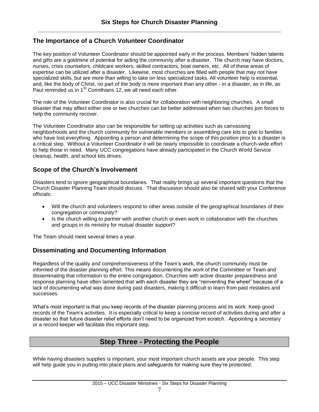## **The Importance of a Church Volunteer Coordinator**

The key position of Volunteer Coordinator should be appointed early in the process. Members' hidden talents and gifts are a goldmine of potential for aiding the community after a disaster. The church may have doctors, nurses, crisis counselors, childcare workers, skilled contractors, boat owners, etc. All of these areas of expertise can be utilized after a disaster. Likewise, most churches are filled with people that may not have specialized skills, but are more than willing to take on less specialized tasks. All volunteer help is essential; and, like the body of Christ, no part of the body is more important than any other - in a disaster, as in life, as Paul reminded us in 1<sup>St</sup> Corinthians 12, we all need each other.

The role of the Volunteer Coordinator is also crucial for collaboration with neighboring churches. A small disaster that may affect either one or two churches can be better addressed when two churches join forces to help the community recover.

The Volunteer Coordinator also can be responsible for setting up activities such as canvassing neighborhoods and the church community for vulnerable members or assembling care kits to give to families who have lost everything. Appointing a person and determining the scope of this position prior to a disaster is a critical step. Without a Volunteer Coordinator it will be nearly impossible to coordinate a church-wide effort to help those in need. Many UCC congregations have already participated in the Church World Service cleanup, health, and school kits drives.

### **Scope of the Church's Involvement**

Disasters tend to ignore geographical boundaries. That reality brings up several important questions that the Church Disaster Planning Team should discuss. That discussion should also be shared with your Conference officials:

- Will the church and volunteers respond to other areas outside of the geographical boundaries of their congregation or community?
- Is the church willing to partner with another church or even work in collaboration with the churches and groups in its ministry for mutual disaster support?

The Team should meet several times a year.

### **Disseminating and Documenting Information**

Regardless of the quality and comprehensiveness of the Team's work, the church community must be informed of the disaster planning effort. This means documenting the work of the Committee or Team and disseminating that information to the entire congregation. Churches with active disaster preparedness and response planning have often lamented that with each disaster they are "reinventing the wheel" because of a lack of documenting what was done during past disasters, making it difficult to learn from past mistakes and successes.

What's most important is that you keep records of the disaster planning process and its work. Keep good records of the Team's activities. It is especially critical to keep a concise record of activities during and after a disaster so that future disaster relief efforts don't need to be organized from scratch. Appointing a secretary or a record keeper will facilitate this important step.

# **Step Three - Protecting the People**

While having disasters supplies is important, your most important church assets are your people. This step will help guide you in putting into place plans and safeguards for making sure they're protected.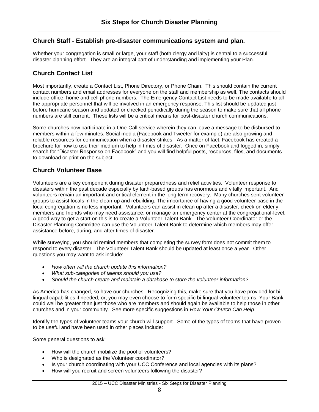### **Church Staff - Establish pre-disaster communications system and plan***.*

Whether your congregation is small or large, your staff (both clergy and laity) is central to a successful disaster planning effort. They are an integral part of understanding and implementing your Plan.

# **Church Contact List**

Most importantly, create a Contact List, Phone Directory, or Phone Chain. This should contain the current contact numbers and email addresses for everyone on the staff and membership as well. The contacts should include office, home and cell phone numbers. The Emergency Contact List needs to be made available to all the appropriate personnel that will be involved in an emergency response. This list should be updated just before hurricane season and updated or checked periodically during the season to make sure that all phone numbers are still current. These lists will be a critical means for post-disaster church communications.

Some churches now participate in a One-Call service wherein they can leave a message to be disbursed to members within a few minutes. Social media (Facebook and Tweeter for example) are also growing and reliable resources for communication when a disaster strikes. As a matter of fact, Facebook has created a brochure for how to use their medium to help in times of disaster. Once on Facebook and logged in, simply search for "Disaster Response on Facebook" and you will find helpful posts, resources, files, and documents to download or print on the subject.

# **Church Volunteer Base**

Volunteers are a key component during disaster preparedness and relief activities. Volunteer response to disasters within the past decade especially by faith-based groups has enormous and vitally important. And volunteers remain an important and critical element in the long term recovery. Many churches sent volunteer groups to assist locals in the clean-up and rebuilding. The importance of having a good volunteer base in the local congregation is no less important. Volunteers can assist in clean up after a disaster, check on elderly members and friends who may need assistance, or manage an emergency center at the congregational-level. A good way to get a start on this is to create a Volunteer Talent Bank. The Volunteer Coordinator or the Disaster Planning Committee can use the Volunteer Talent Bank to determine which members may offer assistance before, during, and after times of disaster.

While surveying, you should remind members that completing the survey form does not commit them to respond to every disaster. The Volunteer Talent Bank should be updated at least once a year. Other questions you may want to ask include:

- *How often will the church update this information?*
- *What sub-categories of talents should you use?*
- *Should the church create and maintain a database to store the volunteer information?*

As America has changed, so have our churches. Recognizing this, make sure that you have provided for bilingual capabilities if needed; or, you may even choose to form specific bi-lingual volunteer teams. Your Bank could well be greater than just those who are members and should again be available to help those in other churches and in your community. See more specific suggestions in *How Your Church Can Help*.

Identify the types of volunteer teams your church will support. Some of the types of teams that have proven to be useful and have been used in other places include:

Some general questions to ask:

- How will the church mobilize the pool of volunteers?
- Who is designated as the Volunteer coordinator?
- Is your church coordinating with your UCC Conference and local agencies with its plans?
- How will you recruit and screen volunteers following the disaster?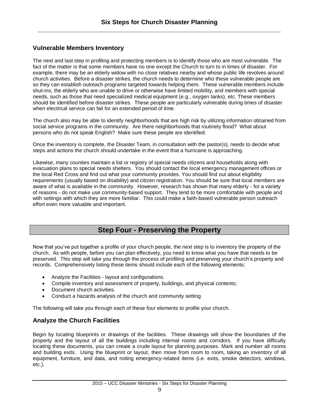# **Vulnerable Members Inventory**

The next and last step in profiling and protecting members is to identify those who are most vulnerable. The fact of the matter is that some members have no one except the Church to turn to in times of disaster. For example, there may be an elderly widow with no close relatives nearby and whose public life revolves around church activities. Before a disaster strikes, the church needs to determine who these vulnerable people are so they can establish outreach programs targeted towards helping them. These vulnerable members include shut-ins, the elderly who are unable to drive or otherwise have limited mobility, and members with special needs, such as those that need specialized medical equipment (e.g., oxygen tanks), etc. These members should be identified before disaster strikes. These people are particularly vulnerable during times of disaster when electrical service can fail for an extended period of time.

The church also may be able to identify neighborhoods that are high risk by utilizing information obtained from social service programs in the community. Are there neighborhoods that routinely flood? What about persons who do not speak English? Make sure these people are identified.

Once the inventory is complete, the Disaster Team, in consultation with the pastor(s), needs to decide what steps and actions the church should undertake in the event that a hurricane is approaching.

Likewise, many counties maintain a list or registry of special needs citizens and households along with evacuation plans to special needs shelters. You should contact the local emergency management offices or the local Red Cross and find out what your community provides. You should find out about eligibility requirements (usually based on disability) and citizen registration. You should be sure that local members are aware of what is available in the community. However, research has shown that many elderly - for a variety of reasons - do not make use community-based support. They tend to be more comfortable with people and with settings with which they are more familiar. This could make a faith-based vulnerable person outreach effort even more valuable and important.

# **Step Four - Preserving the Property**

Now that you've put together a profile of your church people, the next step is to inventory the property of the church. As with people, before you can plan effectively, you need to know what you have that needs to be preserved. This step will take you through the process of profiling and preserving your church's property and records. Comprehensively listing these items should include each of the following elements:

- Analyze the Facilities layout and configurations.
- Compile inventory and assessment of property, buildings, and physical contents;
- Document church activities.
- Conduct a hazards analysis of the church and community setting

The following will take you through each of these four elements to profile your church.

### **Analyze the Church Facilities**

Begin by locating blueprints or drawings of the facilities. These drawings will show the boundaries of the property and the layout of all the buildings including internal rooms and corridors. If you have difficulty locating these documents, you can create a crude layout for planning purposes. Mark and number all rooms and building exits. Using the blueprint or layout, then move from room to room, taking an inventory of all equipment, furniture, and data, and noting emergency-related items (i.e. exits, smoke detectors, windows, etc.).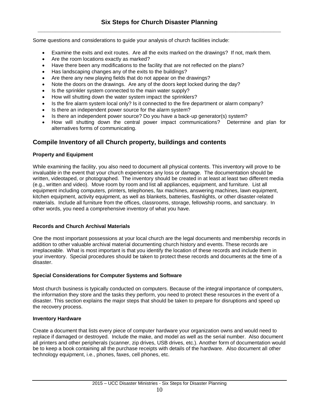Some questions and considerations to guide your analysis of church facilities include:

- Examine the exits and exit routes. Are all the exits marked on the drawings? If not, mark them.
- Are the room locations exactly as marked?
- Have there been any modifications to the facility that are not reflected on the plans?
- Has landscaping changes any of the exits to the buildings?
- Are there any new playing fields that do not appear on the drawings?
- Note the doors on the drawings. Are any of the doors kept locked during the day?
- Is the sprinkler system connected to the main water supply?
- How will shutting down the water system impact the sprinklers?
- Is the fire alarm system local only? Is it connected to the fire department or alarm company?
- Is there an independent power source for the alarm system?
- Is there an independent power source? Do you have a back-up generator(s) system?
- How will shutting down the central power impact communications? Determine and plan for alternatives forms of communicating.

# **Compile Inventory of all Church property, buildings and contents**

### **Property and Equipment**

While examining the facility, you also need to document all physical contents. This inventory will prove to be invaluable in the event that your church experiences any loss or damage. The documentation should be written, videotaped, or photographed. The inventory should be created in at least at least two different media (e.g., written and video). Move room by room and list all appliances, equipment, and furniture. List all equipment including computers, printers, telephones, fax machines, answering machines, lawn equipment, kitchen equipment, activity equipment, as well as blankets, batteries, flashlights, or other disaster-related materials. Include all furniture from the offices, classrooms, storage, fellowship rooms, and sanctuary. In other words, you need a comprehensive inventory of what you have.

### **Records and Church Archival Materials**

One the most important possessions at your local church are the legal documents and membership records in addition to other valuable archival material documenting church history and events. These records are irreplaceable. What is most important is that you identify the location of these records and include them in your inventory. Special procedures should be taken to protect these records and documents at the time of a disaster.

### **Special Considerations for Computer Systems and Software**

Most church business is typically conducted on computers. Because of the integral importance of computers, the information they store and the tasks they perform, you need to protect these resources in the event of a disaster. This section explains the major steps that should be taken to prepare for disruptions and speed up the recovery process.

### **Inventory Hardware**

Create a document that lists every piece of computer hardware your organization owns and would need to replace if damaged or destroyed. Include the make, and model as well as the serial number. Also document all printers and other peripherals (scanner, zip drives, USB drives, etc.). Another form of documentation would be to keep a book containing all the purchase receipts with details of the hardware. Also document all other technology equipment, i.e., phones, faxes, cell phones, etc.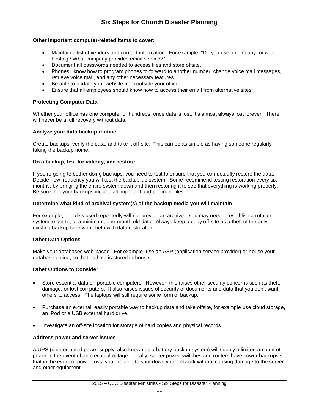#### **Other important computer-related items to cover:**

- Maintain a list of vendors and contact information. For example, "Do you use a company for web hosting? What company provides email service?"
- Document all passwords needed to access files and store offsite.
- Phones: know how to program phones to forward to another number, change voice mail messages, retrieve voice mail, and any other necessary features.
- Be able to update your website from outside your office.
- Ensure that all employees should know how to access their email from alternative sites.

#### **Protecting Computer Data**

Whether your office has one computer or hundreds, once data is lost, it's almost always lost forever. There will never be a full recovery without data.

#### **Analyze your data backup routine**.

Create backups, verify the data, and take it off-site. This can be as simple as having someone regularly taking the backup home.

#### **Do a backup, test for validity, and restore.**

If you're going to bother doing backups, you need to test to ensure that you can actually restore the data. Decide how frequently you will test the backup-up system. Some recommend testing restoration every six months, by bringing the entire system down and then restoring it to see that everything is working properly. Be sure that your backups include all important and pertinent files.

#### **Determine what kind of archival system(s) of the backup media you will maintain**.

For example, one disk used repeatedly will not provide an archive. You may need to establish a rotation system to get to, at a minimum, one-month old data. Always keep a copy off-site as a theft of the only existing backup tape won't help with data restoration.

#### **Other Data Options**

Make your databases web-based. For example, use an ASP (application service provider) or house your database online, so that nothing is stored in-house.

#### **Other Options to Consider**

- Store essential data on portable computers. However, this raises other security concerns such as theft, damage, or lost computers. It also raises issues of security of documents and data that you don't want others to access. The laptops will still require some form of backup.
- Purchase an external, easily portable way to backup data and take offsite, for example use cloud storage, an iPod or a USB external hard drive.
- Investigate an off-site location for storage of hard copies and physical records.

#### **Address power and server issues**

A UPS (uninterrupted power supply, also known as a battery backup system) will supply a limited amount of power in the event of an electrical outage. Ideally, server power switches and routers have power backups so that in the event of power loss, you are able to shut down your network without causing damage to the server and other equipment.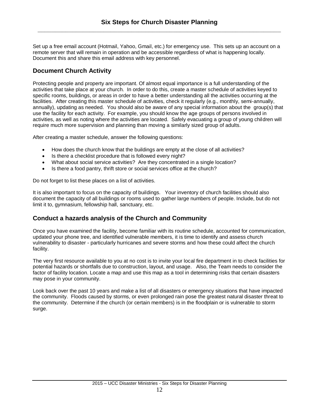Set up a free email account (Hotmail, Yahoo, Gmail, etc.) for emergency use. This sets up an account on a remote server that will remain in operation and be accessible regardless of what is happening locally. Document this and share this email address with key personnel.

# **Document Church Activity**

Protecting people and property are important. Of almost equal importance is a full understanding of the activities that take place at your church. In order to do this, create a master schedule of activities keyed to specific rooms, buildings, or areas in order to have a better understanding all the activities occurring at the facilities. After creating this master schedule of activities, check it regularly (e.g., monthly, semi-annually, annually), updating as needed. You should also be aware of any special information about the group(s) that use the facility for each activity. For example, you should know the age groups of persons involved in activities, as well as noting where the activities are located. Safely evacuating a group of young children will require much more supervision and planning than moving a similarly sized group of adults.

After creating a master schedule, answer the following questions:

- How does the church know that the buildings are empty at the close of all activities?
- Is there a checklist procedure that is followed every night?
- What about social service activities? Are they concentrated in a single location?
- Is there a food pantry, thrift store or social services office at the church?

Do not forget to list these places on a list of activities.

It is also important to focus on the capacity of buildings. Your inventory of church facilities should also document the capacity of all buildings or rooms used to gather large numbers of people. Include, but do not limit it to, gymnasium, fellowship hall, sanctuary, etc.

### **Conduct a hazards analysis of the Church and Community**

Once you have examined the facility, become familiar with its routine schedule, accounted for communication, updated your phone tree, and identified vulnerable members, it is time to identify and assess church vulnerability to disaster - particularly hurricanes and severe storms and how these could affect the church facility.

The very first resource available to you at no cost is to invite your local fire department in to check facilities for potential hazards or shortfalls due to construction, layout, and usage. Also, the Team needs to consider the factor of facility location. Locate a map and use this map as a tool in determining risks that certain disasters may pose in your community.

Look back over the past 10 years and make a list of all disasters or emergency situations that have impacted the community. Floods caused by storms, or even prolonged rain pose the greatest natural disaster threat to the community. Determine if the church (or certain members) is in the floodplain or is vulnerable to storm surge.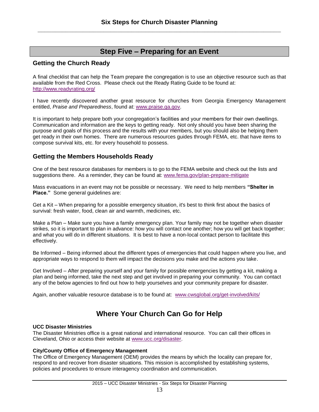# **Step Five – Preparing for an Event**

### **Getting the Church Ready**

A final checklist that can help the Team prepare the congregation is to use an objective resource such as that available from the Red Cross. Please check out the Ready Rating Guide to be found at: <http://www.readyrating.org/>

I have recently discovered another great resource for churches from Georgia Emergency Management entitled, *Praise and Preparedness*, found at: [www.praise.ga.gov.](http://www.praise.ga.gov/)

It is important to help prepare both your congregation's facilities and your members for their own dwellings. Communication and information are the keys to getting ready. Not only should you have been sharing the purpose and goals of this process and the results with your members, but you should also be helping them get ready in their own homes. There are numerous resources guides through FEMA, etc. that have items to compose survival kits, etc. for every household to possess.

### **Getting the Members Households Ready**

One of the best resource databases for members is to go to the FEMA website and check out the lists and suggestions there. As a reminder, they can be found at: [www.fema.gov/plan-prepare-mitigate](http://www.fema.gov/plan-prepare-mitigate)

Mass evacuations in an event may not be possible or necessary. We need to help members **"Shelter in Place."** Some general guidelines are:

Get a Kit – When preparing for a possible emergency situation, it's best to think first about the basics of survival: fresh water, food, clean air and warmth, medicines, etc.

Make a Plan – Make sure you have a family emergency plan. Your family may not be together when disaster strikes, so it is important to plan in advance: how you will contact one another; how you will get back together; and what you will do in different situations. It is best to have a non-local contact person to facilitate this effectively.

Be Informed – Being informed about the different types of emergencies that could happen where you live, and appropriate ways to respond to them will impact the decisions you make and the actions you take.

Get Involved – After preparing yourself and your family for possible emergencies by getting a kit, making a plan and being informed, take the next step and get involved in preparing your community. You can contact any of the below agencies to find out how to help yourselves and your community prepare for disaster.

Again, another valuable resource database is to be found at: [www.cwsglobal.org/get-involved/kits/](http://www.cwsglobal.org/get-involved/kits/)

# **Where Your Church Can Go for Help**

### **UCC Disaster Ministries**

The Disaster Ministries office is a great national and international resource. You can call their offices in Cleveland, Ohio or access their website at [www.ucc.org/disaster.](http://www.ucc.org/disaster)

### **City/County Office of Emergency Management**

The Office of Emergency Management (OEM) provides the means by which the locality can prepare for, respond to and recover from disaster situations. This mission is accomplished by establishing systems, policies and procedures to ensure interagency coordination and communication.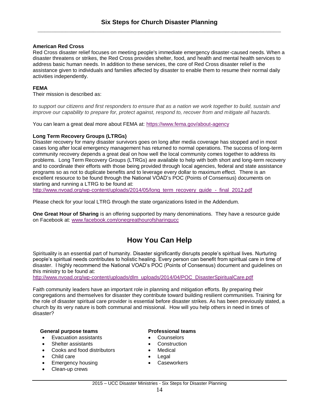#### **American Red Cross**

Red Cross disaster relief focuses on meeting people's immediate emergency disaster-caused needs. When a disaster threatens or strikes, the Red Cross provides shelter, food, and health and mental health services to address basic human needs. In addition to these services, the core of Red Cross disaster relief is the assistance given to individuals and families affected by disaster to enable them to resume their normal daily activities independently.

#### **FEMA**

Their mission is described as:

to support our citizens and first responders to ensure that as a nation we work together to build, sustain and *improve our capability to prepare for, protect against, respond to, recover from and mitigate all hazards.*

You can learn a great deal more about FEMA at: <https://www.fema.gov/about-agency>

#### **Long Term Recovery Groups (LTRGs)**

Disaster recovery for many disaster survivors goes on long after media coverage has stopped and in most cases long after local emergency management has returned to normal operations. The success of long-term community recovery depends a great deal on how well the local community comes together to address its problems. Long Term Recovery Groups (LTRGs) are available to help with both short and long-term recovery and to coordinate their efforts with those being provided through local agencies, federal and state assistance programs so as not to duplicate benefits and to leverage every dollar to maximum effect. There is an excellent resource to be found through the National VOAD's POC (Points of Consensus) documents on starting and running a LTRG to be found at:

[http://www.nvoad.org/wp-content/uploads/2014/05/long\\_term\\_recovery\\_guide\\_-\\_final\\_2012.pdf](http://www.nvoad.org/wp-content/uploads/2014/05/long_term_recovery_guide_-_final_2012.pdf)

Please check for your local LTRG through the state organizations listed in the Addendum.

**One Great Hour of Sharing** is an offering supported by many denominations. They have a resource guide on Facebook at: [www.facebook.com/onegreathourofsharingucc](http://www.facebook.com/onegreathourofsharingucc)

# **How You Can Help**

Spirituality is an essential part of humanity. Disaster significantly disrupts people's spiritual lives. Nurturing people's spiritual needs contributes to holistic healing. Every person can benefit from spiritual care in time of disaster. I highly recommend the National VOAD's POC (Points of Consensus) document and guidelines on this ministry to be found at:

[http://www.nvoad.org/wp-content/uploads/dlm\\_uploads/2014/04/POC\\_DisasterSpiritualCare.pdf](http://www.nvoad.org/wp-content/uploads/dlm_uploads/2014/04/POC_DisasterSpiritualCare.pdf)

Faith community leaders have an important role in planning and mitigation efforts. By preparing their congregations and themselves for disaster they contribute toward building resilient communities. Training for the role of disaster spiritual care provider is essential before disaster strikes. As has been previously stated, a church by its very nature is both communal and missional. How will you help others in need in times of disaster?

#### **General purpose teams Professional teams**

- Evacuation assistants **COUNSERVING COUNSE**
- Shelter assistants **Construction**
- Cooks and food distributors **Cooks** and food distributors **Medical**
- Child care **Child care Child care Child care Child care Child care Child care Child care**
- Emergency housing **Caseworkers**
- Clean-up crews

- 
- 
- 
- 
-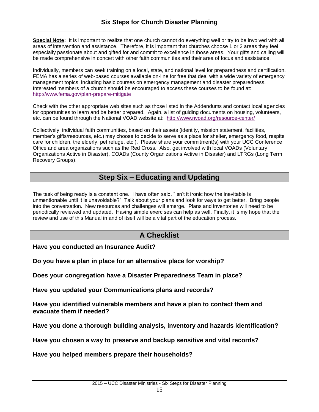**Special Note:** It is important to realize that one church cannot do everything well or try to be involved with all areas of intervention and assistance. Therefore, it is important that churches choose 1 or 2 areas they feel especially passionate about and gifted for and commit to excellence in those areas. Your gifts and calling will be made comprehensive in concert with other faith communities and their area of focus and assistance.

Individually, members can seek training on a local, state, and national level for preparedness and certification. FEMA has a series of web-based courses available on-line for free that deal with a wide variety of emergency management topics, including basic courses on emergency management and disaster preparedness. Interested members of a church should be encouraged to access these courses to be found at: <http://www.fema.gov/plan-prepare-mitigate>

Check with the other appropriate web sites such as those listed in the Addendums and contact local agencies for opportunities to learn and be better prepared. Again, a list of guiding documents on housing, volunteers, etc. can be found through the National VOAD website at: <http://www.nvoad.org/resource-center/>

Collectively, individual faith communities, based on their assets (identity, mission statement, facilities, member's gifts/resources, etc.) may choose to decide to serve as a place for shelter, emergency food, respite care for children, the elderly, pet refuge, etc.). Please share your commitment(s) with your UCC Conference Office and area organizations such as the Red Cross. Also, get involved with local VOADs (Voluntary Organizations Active in Disaster), COADs (County Organizations Active in Disaster) and LTRGs (Long Term Recovery Groups).

# **Step Six – Educating and Updating**

The task of being ready is a constant one. I have often said, "Isn't it ironic how the inevitable is unmentionable until it is unavoidable?" Talk about your plans and look for ways to get better. Bring people into the conversation. New resources and challenges will emerge. Plans and inventories will need to be periodically reviewed and updated. Having simple exercises can help as well. Finally, it is my hope that the review and use of this Manual in and of itself will be a vital part of the education process.

# **A Checklist**

**Have you conducted an Insurance Audit?**

**Do you have a plan in place for an alternative place for worship?**

**Does your congregation have a Disaster Preparedness Team in place?**

**Have you updated your Communications plans and records?**

**Have you identified vulnerable members and have a plan to contact them and evacuate them if needed?**

**Have you done a thorough building analysis, inventory and hazards identification?**

**Have you chosen a way to preserve and backup sensitive and vital records?**

**Have you helped members prepare their households?**